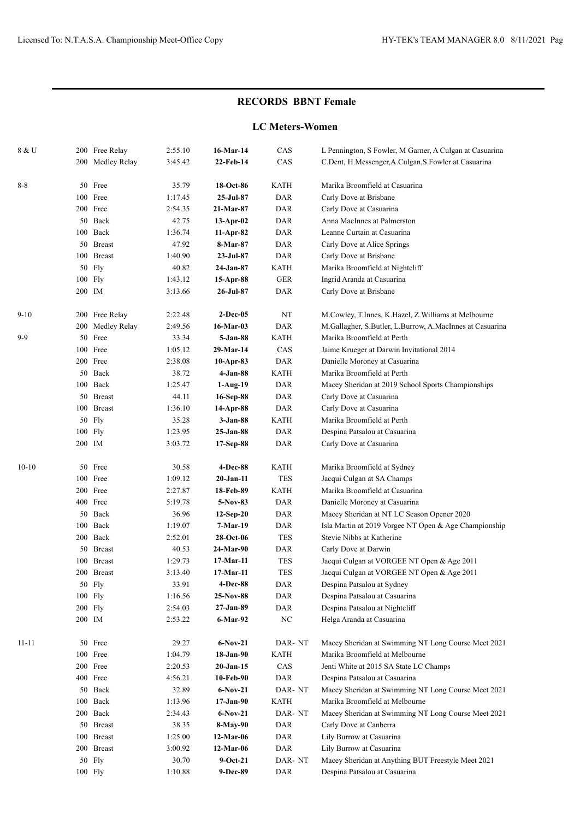## **RECORDS BBNT Female**

## **LC Meters-Women**

| 200 Medley Relay<br>22-Feb-14<br>CAS<br>3:45.42<br>C.Dent, H.Messenger, A.Culgan, S.Fowler at Casuarina<br>18-Oct-86<br><b>KATH</b><br>Marika Broomfield at Casuarina<br>$8 - 8$<br>50<br>Free<br>35.79<br>Free<br>100<br>$25-Jul-87$<br><b>DAR</b><br>Carly Dove at Brisbane<br>1:17.45<br>200 Free<br>2:54.35<br>21-Mar-87<br>DAR<br>Carly Dove at Casuarina<br>Back<br>Anna MacInnes at Palmerston<br>50<br>42.75<br>DAR<br>$13$ -Apr-02<br>100<br>Back<br>1:36.74<br>DAR<br>Leanne Curtain at Casuarina<br>$11-Apr-82$<br>50<br><b>Breast</b><br>47.92<br>8-Mar-87<br>DAR<br>Carly Dove at Alice Springs<br><b>Breast</b><br>100<br>1:40.90<br>23-Jul-87<br>DAR<br>Carly Dove at Brisbane<br>50 Fly<br><b>KATH</b><br>Marika Broomfield at Nightcliff<br>40.82<br>24-Jan-87<br>$100$ Fly<br>1:43.12<br>15-Apr-88<br>GER<br>Ingrid Aranda at Casuarina<br>200 IM<br>3:13.66<br>DAR<br>Carly Dove at Brisbane<br>26-Jul-87<br>NT<br>$9-10$<br>200 Free Relay<br>2:22.48<br>$2-Dec-05$<br>M.Cowley, T.Innes, K.Hazel, Z.Williams at Melbourne<br>Medley Relay<br>2:49.56<br>16-Mar-03<br>DAR<br>M.Gallagher, S.Butler, L.Burrow, A.MacInnes at Casuarina<br>200<br>$9-9$<br>50 Free<br>33.34<br>5-Jan-88<br>KATH<br>Marika Broomfield at Perth<br>100 Free<br>1:05.12<br>29-Mar-14<br><b>CAS</b><br>Jaime Krueger at Darwin Invitational 2014<br>200 Free<br>2:38.08<br>DAR<br>Danielle Moroney at Casuarina<br>10-Apr-83<br>50 Back<br>38.72<br>$4-Jan-88$<br>KATH<br>Marika Broomfield at Perth<br>100 Back<br>1:25.47<br>$1-Aug-19$<br>DAR<br>Macey Sheridan at 2019 School Sports Championships<br>44.11<br>50 Breast<br>16-Sep-88<br>DAR<br>Carly Dove at Casuarina<br>100 Breast<br>Carly Dove at Casuarina<br>1:36.10<br>14-Apr-88<br>DAR<br>50 Fly<br><b>KATH</b><br>Marika Broomfield at Perth<br>35.28<br>$3 - Jan-88$<br>$100$ Fly<br>1:23.95<br>25-Jan-88<br>DAR<br>Despina Patsalou at Casuarina<br>200 IM<br>3:03.72<br>DAR<br>Carly Dove at Casuarina<br>17-Sep-88<br>$10 - 10$<br><b>KATH</b><br>Marika Broomfield at Sydney<br>Free<br>30.58<br>4-Dec-88<br>50<br>100 Free<br><b>TES</b><br>1:09.12<br>$20$ -Jan-11<br>Jacqui Culgan at SA Champs<br>200 Free<br><b>KATH</b><br>Marika Broomfield at Casuarina<br>2:27.87<br>18-Feb-89<br>400 Free<br>5:19.78<br>5-Nov-83<br>DAR<br>Danielle Moroney at Casuarina<br>50 Back<br>36.96<br>DAR<br>Macey Sheridan at NT LC Season Opener 2020<br>$12-Sep-20$<br>100 Back<br>1:19.07<br>7-Mar-19<br>DAR<br>Isla Martin at 2019 Vorgee NT Open & Age Championship<br>200 Back<br><b>TES</b><br>2:52.01<br>Stevie Nibbs at Katherine<br>28-Oct-06<br>50 Breast<br>40.53<br>DAR<br>Carly Dove at Darwin<br>24-Mar-90<br>100<br>1:29.73<br><b>TES</b><br><b>Breast</b><br>$17-Mar-11$<br>Jacqui Culgan at VORGEE NT Open & Age 2011<br><b>TES</b><br>200 Breast<br>3:13.40<br>17-Mar-11<br>Jacqui Culgan at VORGEE NT Open & Age 2011<br>50 Fly<br>4-Dec-88<br>33.91<br>DAR<br>Despina Patsalou at Sydney<br>100 Fly<br>1:16.56<br>DAR<br>Despina Patsalou at Casuarina<br>25-Nov-88<br>200 Fly<br>2:54.03<br>$27-Jan-89$<br>DAR<br>Despina Patsalou at Nightcliff<br>200 IM<br>$_{\mathrm{NC}}$<br>Helga Aranda at Casuarina<br>2:53.22<br>6-Mar-92<br>$11 - 11$<br>DAR-NT<br>50 Free<br>29.27<br>$6-Nov-21$<br>Macey Sheridan at Swimming NT Long Course Meet 2021<br>100 Free<br>1:04.79<br><b>KATH</b><br>Marika Broomfield at Melbourne<br>18-Jan-90<br>200 Free<br>CAS<br>2:20.53<br>$20-Jan-15$<br>Jenti White at 2015 SA State LC Champs<br>400 Free<br>10-Feb-90<br>DAR<br>Despina Patsalou at Casuarina<br>4:56.21<br>50 Back<br>$6-Nov-21$<br>DAR-NT<br>Macey Sheridan at Swimming NT Long Course Meet 2021<br>32.89<br>100 Back<br><b>KATH</b><br>Marika Broomfield at Melbourne<br>1:13.96<br>$17-Jan-90$<br>200 Back<br>DAR-NT<br>2:34.43<br>$6-Nov-21$<br>Macey Sheridan at Swimming NT Long Course Meet 2021<br>DAR<br>Carly Dove at Canberra<br>50 Breast<br>38.35<br>8-May-90<br>1:25.00<br>Lily Burrow at Casuarina<br>100 Breast<br>$12-Mar-06$<br>DAR<br>200 Breast<br>3:00.92<br>$12-Mar-06$<br>DAR<br>Lily Burrow at Casuarina<br>50 Fly<br>30.70<br>$9-Oct-21$<br>DAR-NT<br>Macey Sheridan at Anything BUT Freestyle Meet 2021<br>100 Fly | 8 & U | 200 Free Relay | 2:55.10 | 16-Mar-14 | CAS | L Pennington, S Fowler, M Garner, A Culgan at Casuarina |
|-----------------------------------------------------------------------------------------------------------------------------------------------------------------------------------------------------------------------------------------------------------------------------------------------------------------------------------------------------------------------------------------------------------------------------------------------------------------------------------------------------------------------------------------------------------------------------------------------------------------------------------------------------------------------------------------------------------------------------------------------------------------------------------------------------------------------------------------------------------------------------------------------------------------------------------------------------------------------------------------------------------------------------------------------------------------------------------------------------------------------------------------------------------------------------------------------------------------------------------------------------------------------------------------------------------------------------------------------------------------------------------------------------------------------------------------------------------------------------------------------------------------------------------------------------------------------------------------------------------------------------------------------------------------------------------------------------------------------------------------------------------------------------------------------------------------------------------------------------------------------------------------------------------------------------------------------------------------------------------------------------------------------------------------------------------------------------------------------------------------------------------------------------------------------------------------------------------------------------------------------------------------------------------------------------------------------------------------------------------------------------------------------------------------------------------------------------------------------------------------------------------------------------------------------------------------------------------------------------------------------------------------------------------------------------------------------------------------------------------------------------------------------------------------------------------------------------------------------------------------------------------------------------------------------------------------------------------------------------------------------------------------------------------------------------------------------------------------------------------------------------------------------------------------------------------------------------------------------------------------------------------------------------------------------------------------------------------------------------------------------------------------------------------------------------------------------------------------------------------------------------------------------------------------------------------------------------------------------------------------------------------------------------------------------------------------------------------------------------------------------------------------------------------------------------------------------------------------------------------------------------------------------------------------------------------------------------------------------------------------------------------------------------------------------------------------------------------------------------------------------------------------------------------------------------------------------------------------------------|-------|----------------|---------|-----------|-----|---------------------------------------------------------|
|                                                                                                                                                                                                                                                                                                                                                                                                                                                                                                                                                                                                                                                                                                                                                                                                                                                                                                                                                                                                                                                                                                                                                                                                                                                                                                                                                                                                                                                                                                                                                                                                                                                                                                                                                                                                                                                                                                                                                                                                                                                                                                                                                                                                                                                                                                                                                                                                                                                                                                                                                                                                                                                                                                                                                                                                                                                                                                                                                                                                                                                                                                                                                                                                                                                                                                                                                                                                                                                                                                                                                                                                                                                                                                                                                                                                                                                                                                                                                                                                                                                                                                                                                                                                                             |       |                |         |           |     |                                                         |
|                                                                                                                                                                                                                                                                                                                                                                                                                                                                                                                                                                                                                                                                                                                                                                                                                                                                                                                                                                                                                                                                                                                                                                                                                                                                                                                                                                                                                                                                                                                                                                                                                                                                                                                                                                                                                                                                                                                                                                                                                                                                                                                                                                                                                                                                                                                                                                                                                                                                                                                                                                                                                                                                                                                                                                                                                                                                                                                                                                                                                                                                                                                                                                                                                                                                                                                                                                                                                                                                                                                                                                                                                                                                                                                                                                                                                                                                                                                                                                                                                                                                                                                                                                                                                             |       |                |         |           |     |                                                         |
|                                                                                                                                                                                                                                                                                                                                                                                                                                                                                                                                                                                                                                                                                                                                                                                                                                                                                                                                                                                                                                                                                                                                                                                                                                                                                                                                                                                                                                                                                                                                                                                                                                                                                                                                                                                                                                                                                                                                                                                                                                                                                                                                                                                                                                                                                                                                                                                                                                                                                                                                                                                                                                                                                                                                                                                                                                                                                                                                                                                                                                                                                                                                                                                                                                                                                                                                                                                                                                                                                                                                                                                                                                                                                                                                                                                                                                                                                                                                                                                                                                                                                                                                                                                                                             |       |                |         |           |     |                                                         |
|                                                                                                                                                                                                                                                                                                                                                                                                                                                                                                                                                                                                                                                                                                                                                                                                                                                                                                                                                                                                                                                                                                                                                                                                                                                                                                                                                                                                                                                                                                                                                                                                                                                                                                                                                                                                                                                                                                                                                                                                                                                                                                                                                                                                                                                                                                                                                                                                                                                                                                                                                                                                                                                                                                                                                                                                                                                                                                                                                                                                                                                                                                                                                                                                                                                                                                                                                                                                                                                                                                                                                                                                                                                                                                                                                                                                                                                                                                                                                                                                                                                                                                                                                                                                                             |       |                |         |           |     |                                                         |
|                                                                                                                                                                                                                                                                                                                                                                                                                                                                                                                                                                                                                                                                                                                                                                                                                                                                                                                                                                                                                                                                                                                                                                                                                                                                                                                                                                                                                                                                                                                                                                                                                                                                                                                                                                                                                                                                                                                                                                                                                                                                                                                                                                                                                                                                                                                                                                                                                                                                                                                                                                                                                                                                                                                                                                                                                                                                                                                                                                                                                                                                                                                                                                                                                                                                                                                                                                                                                                                                                                                                                                                                                                                                                                                                                                                                                                                                                                                                                                                                                                                                                                                                                                                                                             |       |                |         |           |     |                                                         |
|                                                                                                                                                                                                                                                                                                                                                                                                                                                                                                                                                                                                                                                                                                                                                                                                                                                                                                                                                                                                                                                                                                                                                                                                                                                                                                                                                                                                                                                                                                                                                                                                                                                                                                                                                                                                                                                                                                                                                                                                                                                                                                                                                                                                                                                                                                                                                                                                                                                                                                                                                                                                                                                                                                                                                                                                                                                                                                                                                                                                                                                                                                                                                                                                                                                                                                                                                                                                                                                                                                                                                                                                                                                                                                                                                                                                                                                                                                                                                                                                                                                                                                                                                                                                                             |       |                |         |           |     |                                                         |
|                                                                                                                                                                                                                                                                                                                                                                                                                                                                                                                                                                                                                                                                                                                                                                                                                                                                                                                                                                                                                                                                                                                                                                                                                                                                                                                                                                                                                                                                                                                                                                                                                                                                                                                                                                                                                                                                                                                                                                                                                                                                                                                                                                                                                                                                                                                                                                                                                                                                                                                                                                                                                                                                                                                                                                                                                                                                                                                                                                                                                                                                                                                                                                                                                                                                                                                                                                                                                                                                                                                                                                                                                                                                                                                                                                                                                                                                                                                                                                                                                                                                                                                                                                                                                             |       |                |         |           |     |                                                         |
|                                                                                                                                                                                                                                                                                                                                                                                                                                                                                                                                                                                                                                                                                                                                                                                                                                                                                                                                                                                                                                                                                                                                                                                                                                                                                                                                                                                                                                                                                                                                                                                                                                                                                                                                                                                                                                                                                                                                                                                                                                                                                                                                                                                                                                                                                                                                                                                                                                                                                                                                                                                                                                                                                                                                                                                                                                                                                                                                                                                                                                                                                                                                                                                                                                                                                                                                                                                                                                                                                                                                                                                                                                                                                                                                                                                                                                                                                                                                                                                                                                                                                                                                                                                                                             |       |                |         |           |     |                                                         |
|                                                                                                                                                                                                                                                                                                                                                                                                                                                                                                                                                                                                                                                                                                                                                                                                                                                                                                                                                                                                                                                                                                                                                                                                                                                                                                                                                                                                                                                                                                                                                                                                                                                                                                                                                                                                                                                                                                                                                                                                                                                                                                                                                                                                                                                                                                                                                                                                                                                                                                                                                                                                                                                                                                                                                                                                                                                                                                                                                                                                                                                                                                                                                                                                                                                                                                                                                                                                                                                                                                                                                                                                                                                                                                                                                                                                                                                                                                                                                                                                                                                                                                                                                                                                                             |       |                |         |           |     |                                                         |
|                                                                                                                                                                                                                                                                                                                                                                                                                                                                                                                                                                                                                                                                                                                                                                                                                                                                                                                                                                                                                                                                                                                                                                                                                                                                                                                                                                                                                                                                                                                                                                                                                                                                                                                                                                                                                                                                                                                                                                                                                                                                                                                                                                                                                                                                                                                                                                                                                                                                                                                                                                                                                                                                                                                                                                                                                                                                                                                                                                                                                                                                                                                                                                                                                                                                                                                                                                                                                                                                                                                                                                                                                                                                                                                                                                                                                                                                                                                                                                                                                                                                                                                                                                                                                             |       |                |         |           |     |                                                         |
|                                                                                                                                                                                                                                                                                                                                                                                                                                                                                                                                                                                                                                                                                                                                                                                                                                                                                                                                                                                                                                                                                                                                                                                                                                                                                                                                                                                                                                                                                                                                                                                                                                                                                                                                                                                                                                                                                                                                                                                                                                                                                                                                                                                                                                                                                                                                                                                                                                                                                                                                                                                                                                                                                                                                                                                                                                                                                                                                                                                                                                                                                                                                                                                                                                                                                                                                                                                                                                                                                                                                                                                                                                                                                                                                                                                                                                                                                                                                                                                                                                                                                                                                                                                                                             |       |                |         |           |     |                                                         |
|                                                                                                                                                                                                                                                                                                                                                                                                                                                                                                                                                                                                                                                                                                                                                                                                                                                                                                                                                                                                                                                                                                                                                                                                                                                                                                                                                                                                                                                                                                                                                                                                                                                                                                                                                                                                                                                                                                                                                                                                                                                                                                                                                                                                                                                                                                                                                                                                                                                                                                                                                                                                                                                                                                                                                                                                                                                                                                                                                                                                                                                                                                                                                                                                                                                                                                                                                                                                                                                                                                                                                                                                                                                                                                                                                                                                                                                                                                                                                                                                                                                                                                                                                                                                                             |       |                |         |           |     |                                                         |
|                                                                                                                                                                                                                                                                                                                                                                                                                                                                                                                                                                                                                                                                                                                                                                                                                                                                                                                                                                                                                                                                                                                                                                                                                                                                                                                                                                                                                                                                                                                                                                                                                                                                                                                                                                                                                                                                                                                                                                                                                                                                                                                                                                                                                                                                                                                                                                                                                                                                                                                                                                                                                                                                                                                                                                                                                                                                                                                                                                                                                                                                                                                                                                                                                                                                                                                                                                                                                                                                                                                                                                                                                                                                                                                                                                                                                                                                                                                                                                                                                                                                                                                                                                                                                             |       |                |         |           |     |                                                         |
|                                                                                                                                                                                                                                                                                                                                                                                                                                                                                                                                                                                                                                                                                                                                                                                                                                                                                                                                                                                                                                                                                                                                                                                                                                                                                                                                                                                                                                                                                                                                                                                                                                                                                                                                                                                                                                                                                                                                                                                                                                                                                                                                                                                                                                                                                                                                                                                                                                                                                                                                                                                                                                                                                                                                                                                                                                                                                                                                                                                                                                                                                                                                                                                                                                                                                                                                                                                                                                                                                                                                                                                                                                                                                                                                                                                                                                                                                                                                                                                                                                                                                                                                                                                                                             |       |                |         |           |     |                                                         |
|                                                                                                                                                                                                                                                                                                                                                                                                                                                                                                                                                                                                                                                                                                                                                                                                                                                                                                                                                                                                                                                                                                                                                                                                                                                                                                                                                                                                                                                                                                                                                                                                                                                                                                                                                                                                                                                                                                                                                                                                                                                                                                                                                                                                                                                                                                                                                                                                                                                                                                                                                                                                                                                                                                                                                                                                                                                                                                                                                                                                                                                                                                                                                                                                                                                                                                                                                                                                                                                                                                                                                                                                                                                                                                                                                                                                                                                                                                                                                                                                                                                                                                                                                                                                                             |       |                |         |           |     |                                                         |
|                                                                                                                                                                                                                                                                                                                                                                                                                                                                                                                                                                                                                                                                                                                                                                                                                                                                                                                                                                                                                                                                                                                                                                                                                                                                                                                                                                                                                                                                                                                                                                                                                                                                                                                                                                                                                                                                                                                                                                                                                                                                                                                                                                                                                                                                                                                                                                                                                                                                                                                                                                                                                                                                                                                                                                                                                                                                                                                                                                                                                                                                                                                                                                                                                                                                                                                                                                                                                                                                                                                                                                                                                                                                                                                                                                                                                                                                                                                                                                                                                                                                                                                                                                                                                             |       |                |         |           |     |                                                         |
|                                                                                                                                                                                                                                                                                                                                                                                                                                                                                                                                                                                                                                                                                                                                                                                                                                                                                                                                                                                                                                                                                                                                                                                                                                                                                                                                                                                                                                                                                                                                                                                                                                                                                                                                                                                                                                                                                                                                                                                                                                                                                                                                                                                                                                                                                                                                                                                                                                                                                                                                                                                                                                                                                                                                                                                                                                                                                                                                                                                                                                                                                                                                                                                                                                                                                                                                                                                                                                                                                                                                                                                                                                                                                                                                                                                                                                                                                                                                                                                                                                                                                                                                                                                                                             |       |                |         |           |     |                                                         |
|                                                                                                                                                                                                                                                                                                                                                                                                                                                                                                                                                                                                                                                                                                                                                                                                                                                                                                                                                                                                                                                                                                                                                                                                                                                                                                                                                                                                                                                                                                                                                                                                                                                                                                                                                                                                                                                                                                                                                                                                                                                                                                                                                                                                                                                                                                                                                                                                                                                                                                                                                                                                                                                                                                                                                                                                                                                                                                                                                                                                                                                                                                                                                                                                                                                                                                                                                                                                                                                                                                                                                                                                                                                                                                                                                                                                                                                                                                                                                                                                                                                                                                                                                                                                                             |       |                |         |           |     |                                                         |
|                                                                                                                                                                                                                                                                                                                                                                                                                                                                                                                                                                                                                                                                                                                                                                                                                                                                                                                                                                                                                                                                                                                                                                                                                                                                                                                                                                                                                                                                                                                                                                                                                                                                                                                                                                                                                                                                                                                                                                                                                                                                                                                                                                                                                                                                                                                                                                                                                                                                                                                                                                                                                                                                                                                                                                                                                                                                                                                                                                                                                                                                                                                                                                                                                                                                                                                                                                                                                                                                                                                                                                                                                                                                                                                                                                                                                                                                                                                                                                                                                                                                                                                                                                                                                             |       |                |         |           |     |                                                         |
|                                                                                                                                                                                                                                                                                                                                                                                                                                                                                                                                                                                                                                                                                                                                                                                                                                                                                                                                                                                                                                                                                                                                                                                                                                                                                                                                                                                                                                                                                                                                                                                                                                                                                                                                                                                                                                                                                                                                                                                                                                                                                                                                                                                                                                                                                                                                                                                                                                                                                                                                                                                                                                                                                                                                                                                                                                                                                                                                                                                                                                                                                                                                                                                                                                                                                                                                                                                                                                                                                                                                                                                                                                                                                                                                                                                                                                                                                                                                                                                                                                                                                                                                                                                                                             |       |                |         |           |     |                                                         |
|                                                                                                                                                                                                                                                                                                                                                                                                                                                                                                                                                                                                                                                                                                                                                                                                                                                                                                                                                                                                                                                                                                                                                                                                                                                                                                                                                                                                                                                                                                                                                                                                                                                                                                                                                                                                                                                                                                                                                                                                                                                                                                                                                                                                                                                                                                                                                                                                                                                                                                                                                                                                                                                                                                                                                                                                                                                                                                                                                                                                                                                                                                                                                                                                                                                                                                                                                                                                                                                                                                                                                                                                                                                                                                                                                                                                                                                                                                                                                                                                                                                                                                                                                                                                                             |       |                |         |           |     |                                                         |
|                                                                                                                                                                                                                                                                                                                                                                                                                                                                                                                                                                                                                                                                                                                                                                                                                                                                                                                                                                                                                                                                                                                                                                                                                                                                                                                                                                                                                                                                                                                                                                                                                                                                                                                                                                                                                                                                                                                                                                                                                                                                                                                                                                                                                                                                                                                                                                                                                                                                                                                                                                                                                                                                                                                                                                                                                                                                                                                                                                                                                                                                                                                                                                                                                                                                                                                                                                                                                                                                                                                                                                                                                                                                                                                                                                                                                                                                                                                                                                                                                                                                                                                                                                                                                             |       |                |         |           |     |                                                         |
|                                                                                                                                                                                                                                                                                                                                                                                                                                                                                                                                                                                                                                                                                                                                                                                                                                                                                                                                                                                                                                                                                                                                                                                                                                                                                                                                                                                                                                                                                                                                                                                                                                                                                                                                                                                                                                                                                                                                                                                                                                                                                                                                                                                                                                                                                                                                                                                                                                                                                                                                                                                                                                                                                                                                                                                                                                                                                                                                                                                                                                                                                                                                                                                                                                                                                                                                                                                                                                                                                                                                                                                                                                                                                                                                                                                                                                                                                                                                                                                                                                                                                                                                                                                                                             |       |                |         |           |     |                                                         |
|                                                                                                                                                                                                                                                                                                                                                                                                                                                                                                                                                                                                                                                                                                                                                                                                                                                                                                                                                                                                                                                                                                                                                                                                                                                                                                                                                                                                                                                                                                                                                                                                                                                                                                                                                                                                                                                                                                                                                                                                                                                                                                                                                                                                                                                                                                                                                                                                                                                                                                                                                                                                                                                                                                                                                                                                                                                                                                                                                                                                                                                                                                                                                                                                                                                                                                                                                                                                                                                                                                                                                                                                                                                                                                                                                                                                                                                                                                                                                                                                                                                                                                                                                                                                                             |       |                |         |           |     |                                                         |
|                                                                                                                                                                                                                                                                                                                                                                                                                                                                                                                                                                                                                                                                                                                                                                                                                                                                                                                                                                                                                                                                                                                                                                                                                                                                                                                                                                                                                                                                                                                                                                                                                                                                                                                                                                                                                                                                                                                                                                                                                                                                                                                                                                                                                                                                                                                                                                                                                                                                                                                                                                                                                                                                                                                                                                                                                                                                                                                                                                                                                                                                                                                                                                                                                                                                                                                                                                                                                                                                                                                                                                                                                                                                                                                                                                                                                                                                                                                                                                                                                                                                                                                                                                                                                             |       |                |         |           |     |                                                         |
|                                                                                                                                                                                                                                                                                                                                                                                                                                                                                                                                                                                                                                                                                                                                                                                                                                                                                                                                                                                                                                                                                                                                                                                                                                                                                                                                                                                                                                                                                                                                                                                                                                                                                                                                                                                                                                                                                                                                                                                                                                                                                                                                                                                                                                                                                                                                                                                                                                                                                                                                                                                                                                                                                                                                                                                                                                                                                                                                                                                                                                                                                                                                                                                                                                                                                                                                                                                                                                                                                                                                                                                                                                                                                                                                                                                                                                                                                                                                                                                                                                                                                                                                                                                                                             |       |                |         |           |     |                                                         |
|                                                                                                                                                                                                                                                                                                                                                                                                                                                                                                                                                                                                                                                                                                                                                                                                                                                                                                                                                                                                                                                                                                                                                                                                                                                                                                                                                                                                                                                                                                                                                                                                                                                                                                                                                                                                                                                                                                                                                                                                                                                                                                                                                                                                                                                                                                                                                                                                                                                                                                                                                                                                                                                                                                                                                                                                                                                                                                                                                                                                                                                                                                                                                                                                                                                                                                                                                                                                                                                                                                                                                                                                                                                                                                                                                                                                                                                                                                                                                                                                                                                                                                                                                                                                                             |       |                |         |           |     |                                                         |
|                                                                                                                                                                                                                                                                                                                                                                                                                                                                                                                                                                                                                                                                                                                                                                                                                                                                                                                                                                                                                                                                                                                                                                                                                                                                                                                                                                                                                                                                                                                                                                                                                                                                                                                                                                                                                                                                                                                                                                                                                                                                                                                                                                                                                                                                                                                                                                                                                                                                                                                                                                                                                                                                                                                                                                                                                                                                                                                                                                                                                                                                                                                                                                                                                                                                                                                                                                                                                                                                                                                                                                                                                                                                                                                                                                                                                                                                                                                                                                                                                                                                                                                                                                                                                             |       |                |         |           |     |                                                         |
|                                                                                                                                                                                                                                                                                                                                                                                                                                                                                                                                                                                                                                                                                                                                                                                                                                                                                                                                                                                                                                                                                                                                                                                                                                                                                                                                                                                                                                                                                                                                                                                                                                                                                                                                                                                                                                                                                                                                                                                                                                                                                                                                                                                                                                                                                                                                                                                                                                                                                                                                                                                                                                                                                                                                                                                                                                                                                                                                                                                                                                                                                                                                                                                                                                                                                                                                                                                                                                                                                                                                                                                                                                                                                                                                                                                                                                                                                                                                                                                                                                                                                                                                                                                                                             |       |                |         |           |     |                                                         |
|                                                                                                                                                                                                                                                                                                                                                                                                                                                                                                                                                                                                                                                                                                                                                                                                                                                                                                                                                                                                                                                                                                                                                                                                                                                                                                                                                                                                                                                                                                                                                                                                                                                                                                                                                                                                                                                                                                                                                                                                                                                                                                                                                                                                                                                                                                                                                                                                                                                                                                                                                                                                                                                                                                                                                                                                                                                                                                                                                                                                                                                                                                                                                                                                                                                                                                                                                                                                                                                                                                                                                                                                                                                                                                                                                                                                                                                                                                                                                                                                                                                                                                                                                                                                                             |       |                |         |           |     |                                                         |
|                                                                                                                                                                                                                                                                                                                                                                                                                                                                                                                                                                                                                                                                                                                                                                                                                                                                                                                                                                                                                                                                                                                                                                                                                                                                                                                                                                                                                                                                                                                                                                                                                                                                                                                                                                                                                                                                                                                                                                                                                                                                                                                                                                                                                                                                                                                                                                                                                                                                                                                                                                                                                                                                                                                                                                                                                                                                                                                                                                                                                                                                                                                                                                                                                                                                                                                                                                                                                                                                                                                                                                                                                                                                                                                                                                                                                                                                                                                                                                                                                                                                                                                                                                                                                             |       |                |         |           |     |                                                         |
|                                                                                                                                                                                                                                                                                                                                                                                                                                                                                                                                                                                                                                                                                                                                                                                                                                                                                                                                                                                                                                                                                                                                                                                                                                                                                                                                                                                                                                                                                                                                                                                                                                                                                                                                                                                                                                                                                                                                                                                                                                                                                                                                                                                                                                                                                                                                                                                                                                                                                                                                                                                                                                                                                                                                                                                                                                                                                                                                                                                                                                                                                                                                                                                                                                                                                                                                                                                                                                                                                                                                                                                                                                                                                                                                                                                                                                                                                                                                                                                                                                                                                                                                                                                                                             |       |                |         |           |     |                                                         |
|                                                                                                                                                                                                                                                                                                                                                                                                                                                                                                                                                                                                                                                                                                                                                                                                                                                                                                                                                                                                                                                                                                                                                                                                                                                                                                                                                                                                                                                                                                                                                                                                                                                                                                                                                                                                                                                                                                                                                                                                                                                                                                                                                                                                                                                                                                                                                                                                                                                                                                                                                                                                                                                                                                                                                                                                                                                                                                                                                                                                                                                                                                                                                                                                                                                                                                                                                                                                                                                                                                                                                                                                                                                                                                                                                                                                                                                                                                                                                                                                                                                                                                                                                                                                                             |       |                |         |           |     |                                                         |
|                                                                                                                                                                                                                                                                                                                                                                                                                                                                                                                                                                                                                                                                                                                                                                                                                                                                                                                                                                                                                                                                                                                                                                                                                                                                                                                                                                                                                                                                                                                                                                                                                                                                                                                                                                                                                                                                                                                                                                                                                                                                                                                                                                                                                                                                                                                                                                                                                                                                                                                                                                                                                                                                                                                                                                                                                                                                                                                                                                                                                                                                                                                                                                                                                                                                                                                                                                                                                                                                                                                                                                                                                                                                                                                                                                                                                                                                                                                                                                                                                                                                                                                                                                                                                             |       |                |         |           |     |                                                         |
|                                                                                                                                                                                                                                                                                                                                                                                                                                                                                                                                                                                                                                                                                                                                                                                                                                                                                                                                                                                                                                                                                                                                                                                                                                                                                                                                                                                                                                                                                                                                                                                                                                                                                                                                                                                                                                                                                                                                                                                                                                                                                                                                                                                                                                                                                                                                                                                                                                                                                                                                                                                                                                                                                                                                                                                                                                                                                                                                                                                                                                                                                                                                                                                                                                                                                                                                                                                                                                                                                                                                                                                                                                                                                                                                                                                                                                                                                                                                                                                                                                                                                                                                                                                                                             |       |                |         |           |     |                                                         |
|                                                                                                                                                                                                                                                                                                                                                                                                                                                                                                                                                                                                                                                                                                                                                                                                                                                                                                                                                                                                                                                                                                                                                                                                                                                                                                                                                                                                                                                                                                                                                                                                                                                                                                                                                                                                                                                                                                                                                                                                                                                                                                                                                                                                                                                                                                                                                                                                                                                                                                                                                                                                                                                                                                                                                                                                                                                                                                                                                                                                                                                                                                                                                                                                                                                                                                                                                                                                                                                                                                                                                                                                                                                                                                                                                                                                                                                                                                                                                                                                                                                                                                                                                                                                                             |       |                |         |           |     |                                                         |
|                                                                                                                                                                                                                                                                                                                                                                                                                                                                                                                                                                                                                                                                                                                                                                                                                                                                                                                                                                                                                                                                                                                                                                                                                                                                                                                                                                                                                                                                                                                                                                                                                                                                                                                                                                                                                                                                                                                                                                                                                                                                                                                                                                                                                                                                                                                                                                                                                                                                                                                                                                                                                                                                                                                                                                                                                                                                                                                                                                                                                                                                                                                                                                                                                                                                                                                                                                                                                                                                                                                                                                                                                                                                                                                                                                                                                                                                                                                                                                                                                                                                                                                                                                                                                             |       |                |         |           |     |                                                         |
|                                                                                                                                                                                                                                                                                                                                                                                                                                                                                                                                                                                                                                                                                                                                                                                                                                                                                                                                                                                                                                                                                                                                                                                                                                                                                                                                                                                                                                                                                                                                                                                                                                                                                                                                                                                                                                                                                                                                                                                                                                                                                                                                                                                                                                                                                                                                                                                                                                                                                                                                                                                                                                                                                                                                                                                                                                                                                                                                                                                                                                                                                                                                                                                                                                                                                                                                                                                                                                                                                                                                                                                                                                                                                                                                                                                                                                                                                                                                                                                                                                                                                                                                                                                                                             |       |                |         |           |     |                                                         |
|                                                                                                                                                                                                                                                                                                                                                                                                                                                                                                                                                                                                                                                                                                                                                                                                                                                                                                                                                                                                                                                                                                                                                                                                                                                                                                                                                                                                                                                                                                                                                                                                                                                                                                                                                                                                                                                                                                                                                                                                                                                                                                                                                                                                                                                                                                                                                                                                                                                                                                                                                                                                                                                                                                                                                                                                                                                                                                                                                                                                                                                                                                                                                                                                                                                                                                                                                                                                                                                                                                                                                                                                                                                                                                                                                                                                                                                                                                                                                                                                                                                                                                                                                                                                                             |       |                |         |           |     |                                                         |
|                                                                                                                                                                                                                                                                                                                                                                                                                                                                                                                                                                                                                                                                                                                                                                                                                                                                                                                                                                                                                                                                                                                                                                                                                                                                                                                                                                                                                                                                                                                                                                                                                                                                                                                                                                                                                                                                                                                                                                                                                                                                                                                                                                                                                                                                                                                                                                                                                                                                                                                                                                                                                                                                                                                                                                                                                                                                                                                                                                                                                                                                                                                                                                                                                                                                                                                                                                                                                                                                                                                                                                                                                                                                                                                                                                                                                                                                                                                                                                                                                                                                                                                                                                                                                             |       |                |         |           |     |                                                         |
|                                                                                                                                                                                                                                                                                                                                                                                                                                                                                                                                                                                                                                                                                                                                                                                                                                                                                                                                                                                                                                                                                                                                                                                                                                                                                                                                                                                                                                                                                                                                                                                                                                                                                                                                                                                                                                                                                                                                                                                                                                                                                                                                                                                                                                                                                                                                                                                                                                                                                                                                                                                                                                                                                                                                                                                                                                                                                                                                                                                                                                                                                                                                                                                                                                                                                                                                                                                                                                                                                                                                                                                                                                                                                                                                                                                                                                                                                                                                                                                                                                                                                                                                                                                                                             |       |                |         |           |     |                                                         |
|                                                                                                                                                                                                                                                                                                                                                                                                                                                                                                                                                                                                                                                                                                                                                                                                                                                                                                                                                                                                                                                                                                                                                                                                                                                                                                                                                                                                                                                                                                                                                                                                                                                                                                                                                                                                                                                                                                                                                                                                                                                                                                                                                                                                                                                                                                                                                                                                                                                                                                                                                                                                                                                                                                                                                                                                                                                                                                                                                                                                                                                                                                                                                                                                                                                                                                                                                                                                                                                                                                                                                                                                                                                                                                                                                                                                                                                                                                                                                                                                                                                                                                                                                                                                                             |       |                |         |           |     |                                                         |
|                                                                                                                                                                                                                                                                                                                                                                                                                                                                                                                                                                                                                                                                                                                                                                                                                                                                                                                                                                                                                                                                                                                                                                                                                                                                                                                                                                                                                                                                                                                                                                                                                                                                                                                                                                                                                                                                                                                                                                                                                                                                                                                                                                                                                                                                                                                                                                                                                                                                                                                                                                                                                                                                                                                                                                                                                                                                                                                                                                                                                                                                                                                                                                                                                                                                                                                                                                                                                                                                                                                                                                                                                                                                                                                                                                                                                                                                                                                                                                                                                                                                                                                                                                                                                             |       |                |         |           |     |                                                         |
|                                                                                                                                                                                                                                                                                                                                                                                                                                                                                                                                                                                                                                                                                                                                                                                                                                                                                                                                                                                                                                                                                                                                                                                                                                                                                                                                                                                                                                                                                                                                                                                                                                                                                                                                                                                                                                                                                                                                                                                                                                                                                                                                                                                                                                                                                                                                                                                                                                                                                                                                                                                                                                                                                                                                                                                                                                                                                                                                                                                                                                                                                                                                                                                                                                                                                                                                                                                                                                                                                                                                                                                                                                                                                                                                                                                                                                                                                                                                                                                                                                                                                                                                                                                                                             |       |                |         |           |     |                                                         |
|                                                                                                                                                                                                                                                                                                                                                                                                                                                                                                                                                                                                                                                                                                                                                                                                                                                                                                                                                                                                                                                                                                                                                                                                                                                                                                                                                                                                                                                                                                                                                                                                                                                                                                                                                                                                                                                                                                                                                                                                                                                                                                                                                                                                                                                                                                                                                                                                                                                                                                                                                                                                                                                                                                                                                                                                                                                                                                                                                                                                                                                                                                                                                                                                                                                                                                                                                                                                                                                                                                                                                                                                                                                                                                                                                                                                                                                                                                                                                                                                                                                                                                                                                                                                                             |       |                |         |           |     |                                                         |
|                                                                                                                                                                                                                                                                                                                                                                                                                                                                                                                                                                                                                                                                                                                                                                                                                                                                                                                                                                                                                                                                                                                                                                                                                                                                                                                                                                                                                                                                                                                                                                                                                                                                                                                                                                                                                                                                                                                                                                                                                                                                                                                                                                                                                                                                                                                                                                                                                                                                                                                                                                                                                                                                                                                                                                                                                                                                                                                                                                                                                                                                                                                                                                                                                                                                                                                                                                                                                                                                                                                                                                                                                                                                                                                                                                                                                                                                                                                                                                                                                                                                                                                                                                                                                             |       |                |         |           |     |                                                         |
|                                                                                                                                                                                                                                                                                                                                                                                                                                                                                                                                                                                                                                                                                                                                                                                                                                                                                                                                                                                                                                                                                                                                                                                                                                                                                                                                                                                                                                                                                                                                                                                                                                                                                                                                                                                                                                                                                                                                                                                                                                                                                                                                                                                                                                                                                                                                                                                                                                                                                                                                                                                                                                                                                                                                                                                                                                                                                                                                                                                                                                                                                                                                                                                                                                                                                                                                                                                                                                                                                                                                                                                                                                                                                                                                                                                                                                                                                                                                                                                                                                                                                                                                                                                                                             |       |                |         |           |     |                                                         |
|                                                                                                                                                                                                                                                                                                                                                                                                                                                                                                                                                                                                                                                                                                                                                                                                                                                                                                                                                                                                                                                                                                                                                                                                                                                                                                                                                                                                                                                                                                                                                                                                                                                                                                                                                                                                                                                                                                                                                                                                                                                                                                                                                                                                                                                                                                                                                                                                                                                                                                                                                                                                                                                                                                                                                                                                                                                                                                                                                                                                                                                                                                                                                                                                                                                                                                                                                                                                                                                                                                                                                                                                                                                                                                                                                                                                                                                                                                                                                                                                                                                                                                                                                                                                                             |       |                |         |           |     |                                                         |
|                                                                                                                                                                                                                                                                                                                                                                                                                                                                                                                                                                                                                                                                                                                                                                                                                                                                                                                                                                                                                                                                                                                                                                                                                                                                                                                                                                                                                                                                                                                                                                                                                                                                                                                                                                                                                                                                                                                                                                                                                                                                                                                                                                                                                                                                                                                                                                                                                                                                                                                                                                                                                                                                                                                                                                                                                                                                                                                                                                                                                                                                                                                                                                                                                                                                                                                                                                                                                                                                                                                                                                                                                                                                                                                                                                                                                                                                                                                                                                                                                                                                                                                                                                                                                             |       |                |         |           |     |                                                         |
|                                                                                                                                                                                                                                                                                                                                                                                                                                                                                                                                                                                                                                                                                                                                                                                                                                                                                                                                                                                                                                                                                                                                                                                                                                                                                                                                                                                                                                                                                                                                                                                                                                                                                                                                                                                                                                                                                                                                                                                                                                                                                                                                                                                                                                                                                                                                                                                                                                                                                                                                                                                                                                                                                                                                                                                                                                                                                                                                                                                                                                                                                                                                                                                                                                                                                                                                                                                                                                                                                                                                                                                                                                                                                                                                                                                                                                                                                                                                                                                                                                                                                                                                                                                                                             |       |                | 1:10.88 | 9-Dec-89  | DAR | Despina Patsalou at Casuarina                           |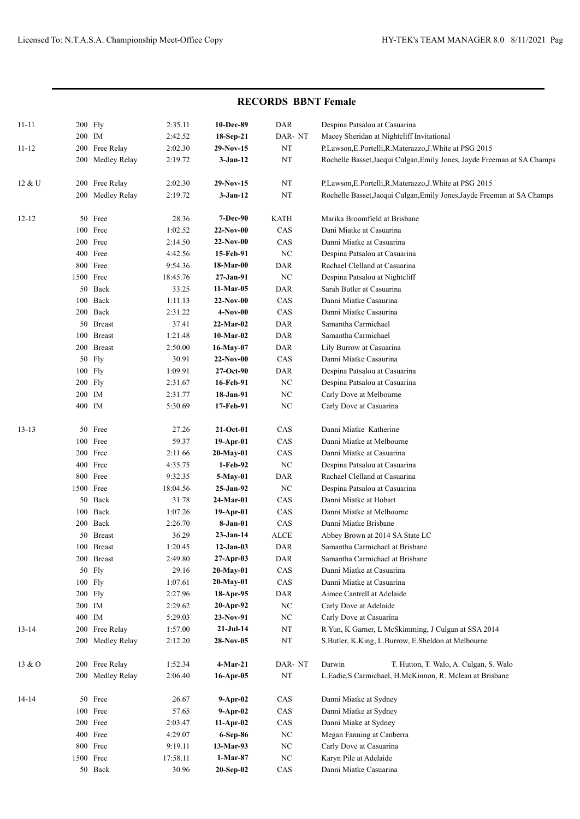|           | <b>RECORDS BBNT Female</b> |                  |          |                 |                              |                                                                         |  |  |  |
|-----------|----------------------------|------------------|----------|-----------------|------------------------------|-------------------------------------------------------------------------|--|--|--|
| $11 - 11$ |                            | 200 Fly          | 2:35.11  | 10-Dec-89       | DAR                          | Despina Patsalou at Casuarina                                           |  |  |  |
|           | 200 IM                     |                  | 2:42.52  | 18-Sep-21       | DAR-NT                       | Macey Sheridan at Nightcliff Invitational                               |  |  |  |
| $11 - 12$ | 200                        | Free Relay       | 2:02.30  | $29-Nov-15$     | $_{\rm NT}$                  | P.Lawson, E.Portelli, R.Materazzo, J.White at PSG 2015                  |  |  |  |
|           |                            | 200 Medley Relay | 2:19.72  | $3-Jan-12$      | NT                           | Rochelle Basset, Jacqui Culgan, Emily Jones, Jayde Freeman at SA Champs |  |  |  |
| 12 & U    |                            | 200 Free Relay   | 2:02.30  | $29-Nov-15$     | NT                           | P.Lawson, E.Portelli, R.Materazzo, J.White at PSG 2015                  |  |  |  |
|           |                            | 200 Medley Relay | 2:19.72  | $3-Jan-12$      | NT                           | Rochelle Basset, Jacqui Culgan, Emily Jones, Jayde Freeman at SA Champs |  |  |  |
| 12-12     |                            | 50 Free          | 28.36    | <b>7-Dec-90</b> | <b>KATH</b>                  | Marika Broomfield at Brisbane                                           |  |  |  |
|           |                            | 100 Free         | 1:02.52  | $22-Nov-00$     | CAS                          | Dani Miatke at Casuarina                                                |  |  |  |
|           |                            | 200 Free         | 2:14.50  | $22-Nov-00$     | CAS                          | Danni Miatke at Casuarina                                               |  |  |  |
|           |                            | 400 Free         | 4:42.56  | 15-Feb-91       | $_{\mathrm{NC}}$             | Despina Patsalou at Casuarina                                           |  |  |  |
|           |                            | 800 Free         | 9:54.36  | 18-Mar-00       | DAR                          | Rachael Clelland at Casuarina                                           |  |  |  |
|           |                            | 1500 Free        | 18:45.76 | 27-Jan-91       | $_{\mathrm{NC}}$             | Despina Patsalou at Nightcliff                                          |  |  |  |
|           |                            | 50 Back          | 33.25    | 11-Mar-05       | DAR                          | Sarah Butler at Casuarina                                               |  |  |  |
|           | 100                        | Back             | 1:11.13  | $22-Nov-00$     | CAS                          | Danni Miatke Casaurina                                                  |  |  |  |
|           |                            | 200 Back         | 2:31.22  | 4-Nov-00        | CAS                          | Danni Miatke Casaurina                                                  |  |  |  |
|           |                            | 50 Breast        | 37.41    | 22-Mar-02       | <b>DAR</b>                   | Samantha Carmichael                                                     |  |  |  |
|           |                            | 100 Breast       | 1:21.48  | $10-Mar-02$     | <b>DAR</b>                   | Samantha Carmichael                                                     |  |  |  |
|           |                            | 200 Breast       | 2:50.00  | 16-May-07       | DAR                          | Lily Burrow at Casuarina                                                |  |  |  |
|           |                            | 50 Fly           | 30.91    | $22-Nov-00$     | CAS                          | Danni Miatke Casaurina                                                  |  |  |  |
|           |                            | 100 Fly          | 1:09.91  | 27-Oct-90       | DAR                          | Despina Patsalou at Casuarina                                           |  |  |  |
|           |                            | 200 Fly          | 2:31.67  | 16-Feb-91       | $_{\mathrm{NC}}$             | Despina Patsalou at Casuarina                                           |  |  |  |
|           | 200 IM                     |                  | 2:31.77  | 18-Jan-91       | $\rm NC$                     | Carly Dove at Melbourne                                                 |  |  |  |
|           |                            | 400 IM           | 5:30.69  | 17-Feb-91       | $_{\mathrm{NC}}$             | Carly Dove at Casuarina                                                 |  |  |  |
| $13 - 13$ |                            | 50 Free          | 27.26    | $21-Oct-01$     | CAS                          | Danni Miatke Katherine                                                  |  |  |  |
|           |                            | 100 Free         | 59.37    | $19-Apr-01$     | CAS                          | Danni Miatke at Melbourne                                               |  |  |  |
|           |                            | 200 Free         | 2:11.66  | $20$ -May-01    | CAS                          | Danni Miatke at Casuarina                                               |  |  |  |
|           |                            | 400 Free         | 4:35.75  | 1-Feb-92        | $_{\mathrm{NC}}$             | Despina Patsalou at Casuarina                                           |  |  |  |
|           |                            | 800 Free         | 9:32.35  | 5-May-01        | DAR                          | Rachael Clelland at Casuarina                                           |  |  |  |
|           |                            | 1500 Free        | 18:04.56 | 25-Jan-92       | $_{\mathrm{NC}}$             | Despina Patsalou at Casuarina                                           |  |  |  |
|           |                            | 50 Back          | 31.78    | 24-Mar-01       | CAS                          | Danni Miatke at Hobart                                                  |  |  |  |
|           |                            | 100 Back         | 1:07.26  | $19-Apr-01$     | CAS                          | Danni Miatke at Melbourne                                               |  |  |  |
|           |                            | 200 Back         | 2:26.70  | 8-Jan-01        | CAS                          | Danni Miatke Brisbane                                                   |  |  |  |
|           |                            | 50 Breast        | 36.29    | $23-Jan-14$     | $\ensuremath{\mathsf{ALCE}}$ | Abbey Brown at 2014 SA State LC                                         |  |  |  |
|           |                            | 100 Breast       | 1:20.45  | $12-Jan-03$     | DAR                          | Samantha Carmichael at Brisbane                                         |  |  |  |
|           |                            | 200 Breast       | 2:49.80  | $27-Apr-03$     | DAR                          | Samantha Carmichael at Brisbane                                         |  |  |  |
|           |                            | 50 Fly           | 29.16    | $20-May-01$     | CAS                          | Danni Miatke at Casuarina                                               |  |  |  |
|           |                            | 100 Fly          | 1:07.61  | $20-May-01$     | CAS                          | Danni Miatke at Casuarina                                               |  |  |  |
|           |                            | 200 Fly          | 2:27.96  | 18-Apr-95       | DAR                          | Aimee Cantrell at Adelaide                                              |  |  |  |
|           | 200 IM                     |                  | 2:29.62  | $20-Apr-92$     | $_{\mathrm{NC}}$             | Carly Dove at Adelaide                                                  |  |  |  |
|           | 400 IM                     |                  | 5:29.03  | $23-Nov-91$     | NC                           | Carly Dove at Casuarina                                                 |  |  |  |
| 13-14     |                            | 200 Free Relay   | 1:57.00  | $21-Ju-14$      | $_{\rm NT}$                  | R Yun, K Garner, L McSkimming, J Culgan at SSA 2014                     |  |  |  |
|           |                            | 200 Medley Relay | 2:12.20  | 28-Nov-05       | $_{\rm NT}$                  | S.Butler, K.King, L.Burrow, E.Sheldon at Melbourne                      |  |  |  |
| 13 & O    |                            | 200 Free Relay   | 1:52.34  | $4-Mar-21$      | DAR-NT                       | Darwin<br>T. Hutton, T. Walo, A. Culgan, S. Walo                        |  |  |  |
|           |                            | 200 Medley Relay | 2:06.40  | $16$ -Apr-05    | $_{\rm NT}$                  | L.Eadie, S.Carmichael, H.McKinnon, R. Mclean at Brisbane                |  |  |  |
| 14-14     |                            | 50 Free          | 26.67    | $9-Apr-02$      | CAS                          | Danni Miatke at Sydney                                                  |  |  |  |
|           |                            | 100 Free         | 57.65    | $9-Apr-02$      | CAS                          | Danni Miatke at Sydney                                                  |  |  |  |
|           |                            | 200 Free         | 2:03.47  | $11-Apr-02$     | CAS                          | Danni Miake at Sydney                                                   |  |  |  |
|           |                            | 400 Free         | 4:29.07  | 6-Sep-86        | $_{\mathrm{NC}}$             | Megan Fanning at Canberra                                               |  |  |  |
|           |                            | 800 Free         | 9:19.11  | 13-Mar-93       | $_{\mathrm{NC}}$             | Carly Dove at Casuarina                                                 |  |  |  |
|           |                            | 1500 Free        | 17:58.11 | $1-Mar-87$      | $_{\mathrm{NC}}$             | Karyn Pile at Adelaide                                                  |  |  |  |
|           |                            | 50 Back          | 30.96    | $20-Sep-02$     | CAS                          | Danni Miatke Casuarina                                                  |  |  |  |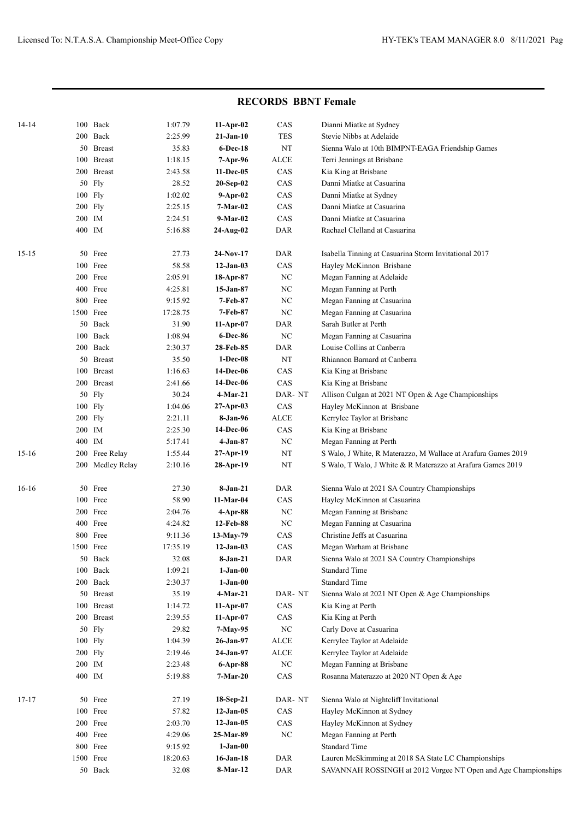|           |           |                  |          |                 | INECOINDO DDIVI FUIIAIU |                                                                |
|-----------|-----------|------------------|----------|-----------------|-------------------------|----------------------------------------------------------------|
| $14 - 14$ |           | 100 Back         | 1:07.79  | $11-Apr-02$     | CAS                     | Dianni Miatke at Sydney                                        |
|           |           | 200 Back         | 2:25.99  | 21-Jan-10       | <b>TES</b>              | Stevie Nibbs at Adelaide                                       |
|           |           | 50 Breast        | 35.83    | <b>6-Dec-18</b> | NT                      | Sienna Walo at 10th BIMPNT-EAGA Friendship Games               |
|           |           | 100 Breast       | 1:18.15  | 7-Apr-96        | ALCE                    | Terri Jennings at Brisbane                                     |
|           |           | 200 Breast       | 2:43.58  | 11-Dec-05       | CAS                     | Kia King at Brisbane                                           |
|           | 50        | Fly              | 28.52    | $20-Sep-02$     | CAS                     | Danni Miatke at Casuarina                                      |
|           | 100 Fly   |                  | 1:02.02  | $9-Apr-02$      | CAS                     | Danni Miatke at Sydney                                         |
|           | 200 Fly   |                  | 2:25.15  | $7-Mar-02$      | CAS                     | Danni Miatke at Casuarina                                      |
|           | 200 IM    |                  | 2:24.51  | 9-Mar-02        | CAS                     | Danni Miatke at Casuarina                                      |
|           | 400 IM    |                  | 5:16.88  | 24-Aug-02       | DAR                     | Rachael Clelland at Casuarina                                  |
| $15 - 15$ | 50        | Free             | 27.73    | $24-Nov-17$     | <b>DAR</b>              | Isabella Tinning at Casuarina Storm Invitational 2017          |
|           |           | 100 Free         | 58.58    | $12-Jan-03$     | CAS                     | Hayley McKinnon Brisbane                                       |
|           |           | 200 Free         | 2:05.91  | 18-Apr-87       | $_{\mathrm{NC}}$        | Megan Fanning at Adelaide                                      |
|           |           | 400 Free         | 4:25.81  | 15-Jan-87       | NC                      | Megan Fanning at Perth                                         |
|           |           | 800 Free         | 9:15.92  | 7-Feb-87        | $_{\mathrm{NC}}$        | Megan Fanning at Casuarina                                     |
|           | 1500 Free |                  | 17:28.75 | 7-Feb-87        | NC                      | Megan Fanning at Casuarina                                     |
|           |           | 50 Back          | 31.90    | $11-Apr-07$     | <b>DAR</b>              | Sarah Butler at Perth                                          |
|           |           | 100 Back         | 1:08.94  | 6-Dec-86        | $_{\mathrm{NC}}$        | Megan Fanning at Casuarina                                     |
|           |           | 200 Back         | 2:30.37  | 28-Feb-85       | DAR                     | Louise Collins at Canberra                                     |
|           |           | 50 Breast        | 35.50    | $1-Dec-08$      | $_{\rm NT}$             | Rhiannon Barnard at Canberra                                   |
|           | 100       | <b>Breast</b>    | 1:16.63  | 14-Dec-06       | CAS                     | Kia King at Brisbane                                           |
|           |           | 200 Breast       | 2:41.66  | 14-Dec-06       | CAS                     | Kia King at Brisbane                                           |
|           | 50        | Fly              | 30.24    | 4-Mar-21        | DAR-NT                  | Allison Culgan at 2021 NT Open & Age Championships             |
|           | 100 Fly   |                  | 1:04.06  | $27-Apr-03$     | CAS                     | Hayley McKinnon at Brisbane                                    |
|           | 200 Fly   |                  | 2:21.11  | 8-Jan-96        | <b>ALCE</b>             | Kerrylee Taylor at Brisbane                                    |
|           | 200 IM    |                  | 2:25.30  | 14-Dec-06       | CAS                     | Kia King at Brisbane                                           |
|           | 400 IM    |                  | 5:17.41  | $4-Jan-87$      | $_{\mathrm{NC}}$        | Megan Fanning at Perth                                         |
| $15-16$   | 200       | Free Relay       | 1:55.44  | $27-Apr-19$     | $_{\rm NT}$             | S Walo, J White, R Materazzo, M Wallace at Arafura Games 2019  |
|           |           | 200 Medley Relay | 2:10.16  | 28-Apr-19       | NT                      | S Walo, T Walo, J White & R Materazzo at Arafura Games 2019    |
| $16-16$   | 50        | Free             | 27.30    | $8-Jan-21$      | <b>DAR</b>              | Sienna Walo at 2021 SA Country Championships                   |
|           |           | 100 Free         | 58.90    | 11-Mar-04       | CAS                     | Hayley McKinnon at Casuarina                                   |
|           |           | 200 Free         | 2:04.76  | $4$ -Apr-88     | $_{\mathrm{NC}}$        | Megan Fanning at Brisbane                                      |
|           | 400       | Free             | 4:24.82  | 12-Feb-88       | $_{\mathrm{NC}}$        | Megan Fanning at Casuarina                                     |
|           |           | 800 Free         | 9:11.36  | $13-May-79$     | CAS                     | Christine Jeffs at Casuarina                                   |
|           | 1500 Free |                  | 17:35.19 | $12-Jan-03$     | $\rm CAS$               | Megan Warham at Brisbane                                       |
|           | 50        | Back             | 32.08    | 8-Jan-21        | DAR                     | Sienna Walo at 2021 SA Country Championships                   |
|           | 100       | Back             | 1:09.21  | $1-Jan-00$      |                         | <b>Standard Time</b>                                           |
|           | 200       | Back             | 2:30.37  | $1-Jan-00$      |                         | <b>Standard Time</b>                                           |
|           | 50        | <b>Breast</b>    | 35.19    | $4-Mar-21$      | DAR-NT                  | Sienna Walo at 2021 NT Open & Age Championships                |
|           | 100       | <b>Breast</b>    | 1:14.72  | $11-Apr-07$     | $\rm CAS$               | Kia King at Perth                                              |
|           | 200       | <b>Breast</b>    | 2:39.55  | 11-Apr-07       | $\rm CAS$               | Kia King at Perth                                              |
|           | 50        | Fly              | 29.82    | 7-May-95        | $\rm NC$                | Carly Dove at Casuarina                                        |
|           | 100 Fly   |                  | 1:04.39  | 26-Jan-97       | $\operatorname{ALCE}$   | Kerrylee Taylor at Adelaide                                    |
|           | 200 Fly   |                  | 2:19.46  | 24-Jan-97       | $\operatorname{ALCE}$   | Kerrylee Taylor at Adelaide                                    |
|           | 200 IM    |                  | 2:23.48  | 6-Apr-88        | $_{\mathrm{NC}}$        | Megan Fanning at Brisbane                                      |
|           | 400 IM    |                  | 5:19.88  | $7-Mar-20$      | $\rm CAS$               | Rosanna Materazzo at 2020 NT Open & Age                        |
| 17-17     | 50        | Free             | 27.19    | 18-Sep-21       | DAR-NT                  | Sienna Walo at Nightcliff Invitational                         |
|           | 100       | Free             | 57.82    | $12-Jan-05$     | CAS                     | Hayley McKinnon at Sydney                                      |
|           |           | 200 Free         | 2:03.70  | $12-Jan-05$     | $\rm CAS$               | Hayley McKinnon at Sydney                                      |
|           |           | 400 Free         | 4:29.06  | 25-Mar-89       | $_{\mathrm{NC}}$        | Megan Fanning at Perth                                         |
|           |           | 800 Free         | 9:15.92  | $1-Jan-00$      |                         | <b>Standard Time</b>                                           |
|           | 1500 Free |                  | 18:20.63 | $16$ -Jan-18    | DAR                     | Lauren McSkimming at 2018 SA State LC Championships            |
|           |           | 50 Back          | 32.08    | 8-Mar-12        | DAR                     | SAVANNAH ROSSINGH at 2012 Vorgee NT Open and Age Championships |

## **RECORDS BBNT Female**